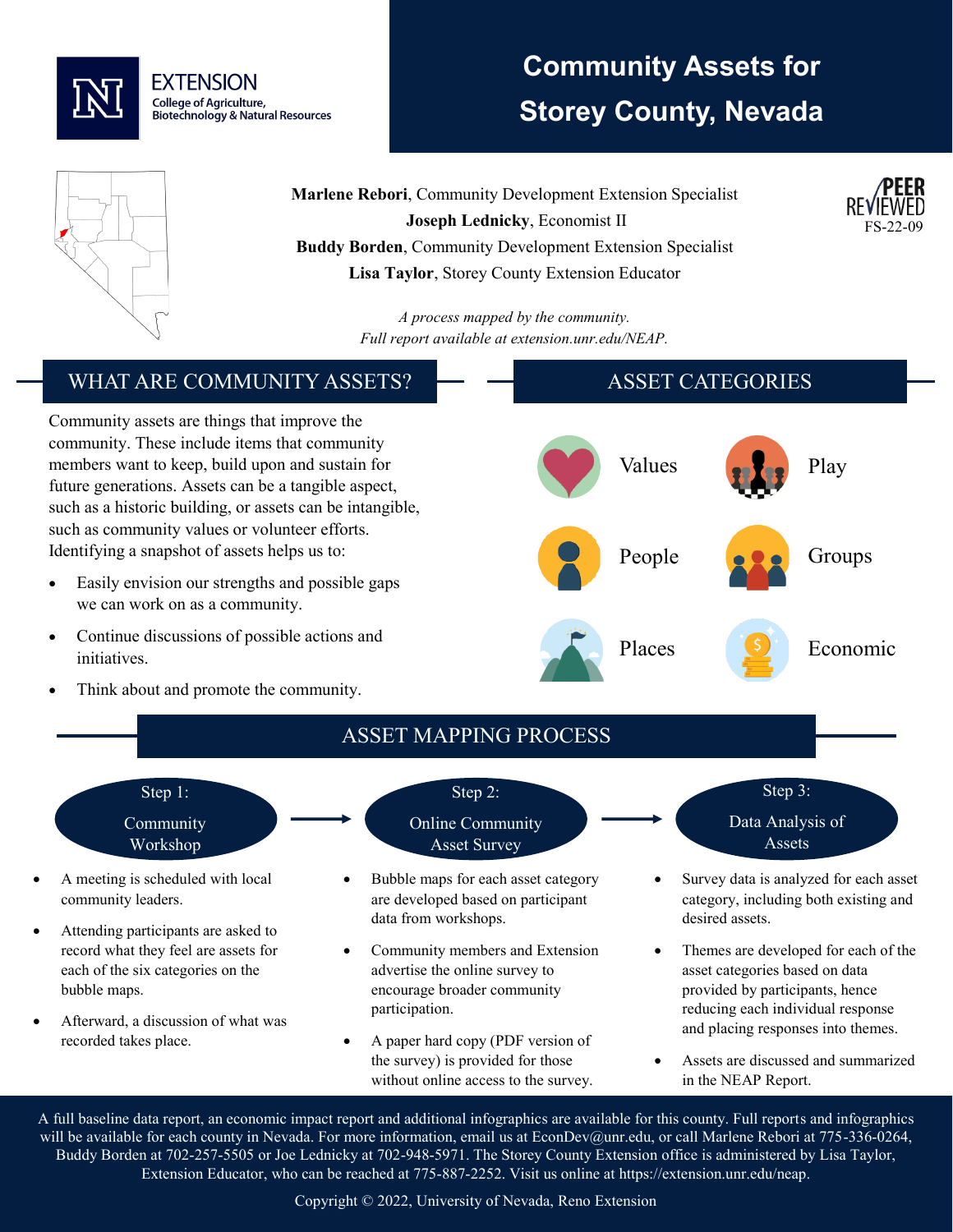

# **Community Assets for Storey County, Nevada**

FS-22-09



**Marlene Rebori**, Community Development Extension Specialist **Joseph Lednicky**, Economist II **Buddy Borden**, Community Development Extension Specialist **Lisa Taylor**, Storey County Extension Educator

> *A process mapped by the community. Full report available at extension.unr.edu/NEAP.*

#### WHAT ARE COMMUNITY ASSETS? Community assets are things that improve the community. These include items that community members want to keep, build upon and sustain for future generations. Assets can be a tangible aspect, such as a historic building, or assets can be intangible, such as community values or volunteer efforts. Identifying a snapshot of assets helps us to: Easily envision our strengths and possible gaps we can work on as a community. • Continue discussions of possible actions and initiatives. Think about and promote the community. ASSET CATEGORIES Values **Play** People **Groups** Places S Economic ASSET MAPPING PROCESS Step 1: Community Workshop • A meeting is scheduled with local community leaders. Attending participants are asked to record what they feel are assets for each of the six categories on the bubble maps. Step 2: Online Community Asset Survey • Bubble maps for each asset category are developed based on participant data from workshops. • Community members and Extension advertise the online survey to encourage broader community participation. Step 3: Data Analysis of Assets • Survey data is analyzed for each asset category, including both existing and desired assets. • Themes are developed for each of the asset categories based on data provided by participants, hence reducing each individual response

• Afterward, a discussion of what was recorded takes place.

• Assets are discussed and summarized in the NEAP Report.

and placing responses into themes.

A full baseline data report, an economic impact report and additional infographics are available for this county. Full reports and infographics will be available for each county in Nevada. For more information, email us at EconDev@unr.edu, or call Marlene Rebori at 775-336-0264, Buddy Borden at 702-257-5505 or Joe Lednicky at 702-948-5971. The Storey County Extension office is administered by Lisa Taylor, Extension Educator, who can be reached at 775-887-2252. Visit us online at https://extension.unr.edu/neap.

• A paper hard copy (PDF version of the survey) is provided for those without online access to the survey.